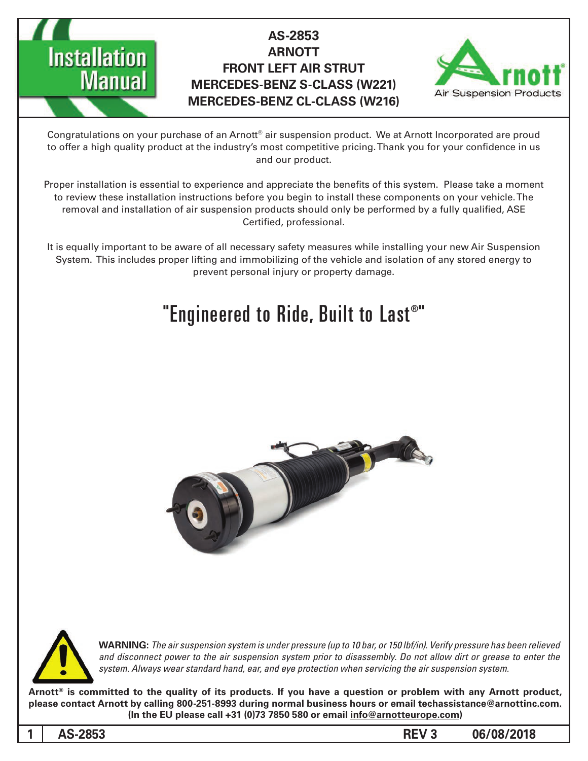

## **AS-2853 ARNOTT FRONT LEFT AIR STRUT MERCEDES-BENZ S-CLASS (W221) MERCEDES-BENZ CL-CLASS (W216)**



Congratulations on your purchase of an Arnott® air suspension product. We at Arnott Incorporated are proud to offer a high quality product at the industry's most competitive pricing. Thank you for your confidence in us and our product.

Proper installation is essential to experience and appreciate the benefits of this system. Please take a moment to review these installation instructions before you begin to install these components on your vehicle. The removal and installation of air suspension products should only be performed by a fully qualified, ASE Certified, professional.

It is equally important to be aware of all necessary safety measures while installing your new Air Suspension System. This includes proper lifting and immobilizing of the vehicle and isolation of any stored energy to prevent personal injury or property damage.

# "Engineered to Ride, Built to Last®"





**1**

*WARNING: The air suspension system is under pressure (up to 10 bar, or 150 lbf/in). Verify pressure has been relieved* and disconnect power to the air suspension system prior to disassembly. Do not allow dirt or grease to enter the system. Always wear standard hand, ear, and eye protection when servicing the air suspension system.

Arnott<sup>®</sup> is committed to the quality of its products. If you have a question or problem with any Arnott product, please contact Arnott by calling 800-251-8993 during normal business hours or email techassistance@arnottinc.com. (In the EU please call +31 (0)73 7850 580 or email info@arnotteurope.com)

**06/08/2018 3 REV 3 REV 3 REV 3 REV 3**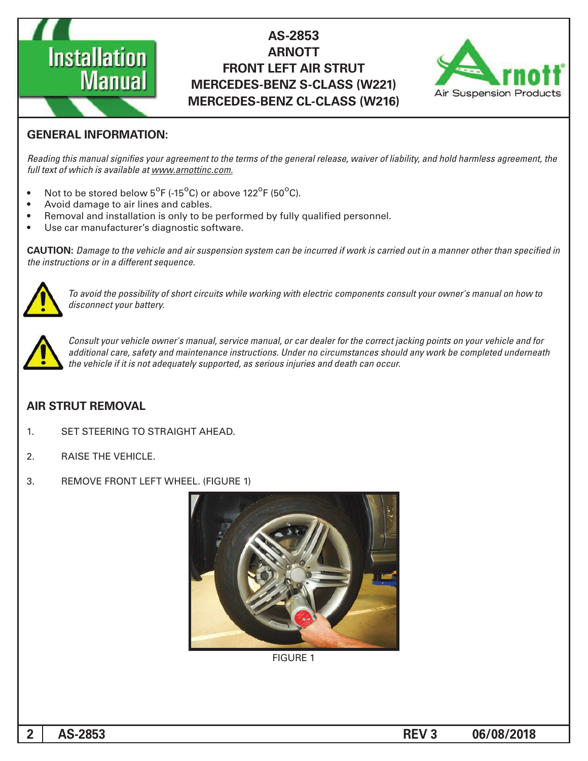

## AS-2853 **ARNOTT FRONT LEFT AIR STRUT MERCEDES-BENZ S-CLASS (W221) MERCEDES-BENZ CL-CLASS (W216)**



### **GENERAL INFORMATION:**

Reading this manual signifies your agreement to the terms of the general release, waiver of liability, and hold harmless agreement, the full text of which is available at www.arnottinc.com.

- Not to be stored below 5<sup>o</sup>F (-15<sup>o</sup>C) or above 122<sup>o</sup>F (50<sup>o</sup>C).
- Avoid damage to air lines and cables.
- Removal and installation is only to be performed by fully qualified personnel.
- Use car manufacturer's diagnostic software.

 *in specified than other manner a in out carried is work if incurred be can system suspension air and vehicle the to Damage* **:CAUTION** *the instructions or in a different sequence.* 



 *to how on manual s'owner your consult components electric with working while circuits short of possibility the avoid To* disconnect your battery.



Consult your vehicle owner's manual, service manual, or car dealer for the correct jacking points on your vehicle and for additional care, safety and maintenance instructions. Under no circumstances should any work be completed underneath the vehicle if it is not adequately supported, as serious injuries and death can occur.

#### **AIR STRUT REMOVAL**

- 1. SET STEERING TO STRAIGHT AHEAD.
- 2. RAISE THE VEHICLE.
- 3. REMOVE FRONT LEFT WHEEL. (FIGURE 1)



**FIGURE 1**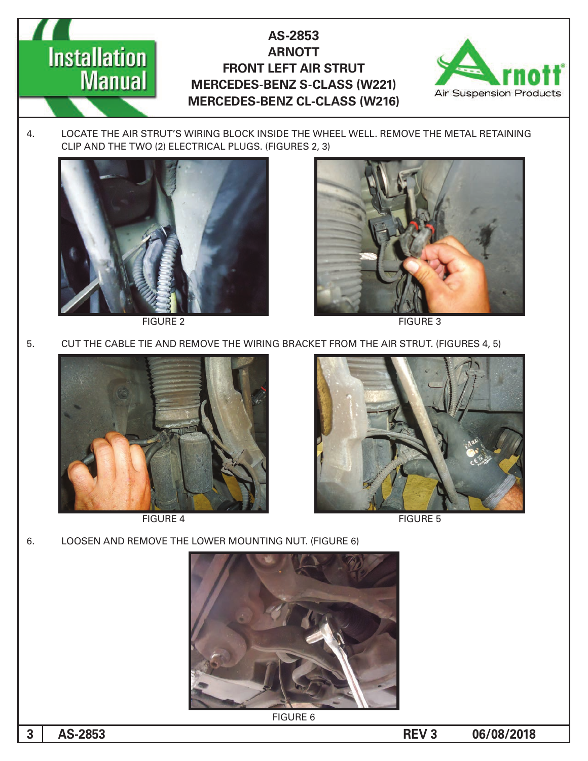## AS-2853 **ARNOTT FRONT LEFT AIR STRUT MERCEDES-BENZ S-CLASS (W221) MERCEDES-BENZ CL-CLASS (W216)**



4. LOCATE THE AIR STRUT'S WIRING BLOCK INSIDE THE WHEEL WELL. REMOVE THE METAL RETAINING CLIP AND THE TWO (2) ELECTRICAL PLUGS. (FIGURES 2, 3)



**Installation** 

**Manual** 

FIGURE 2 FIGURE 3



5. CUT THE CABLE TIE AND REMOVE THE WIRING BRACKET FROM THE AIR STRUT. (FIGURES 4, 5)



**FIGURE 4** 



**FIGURE 5** 

6. LOOSEN AND REMOVE THE LOWER MOUNTING NUT. (FIGURE 6)



**FIGURE 6** 

**06/08/2018 REV 3**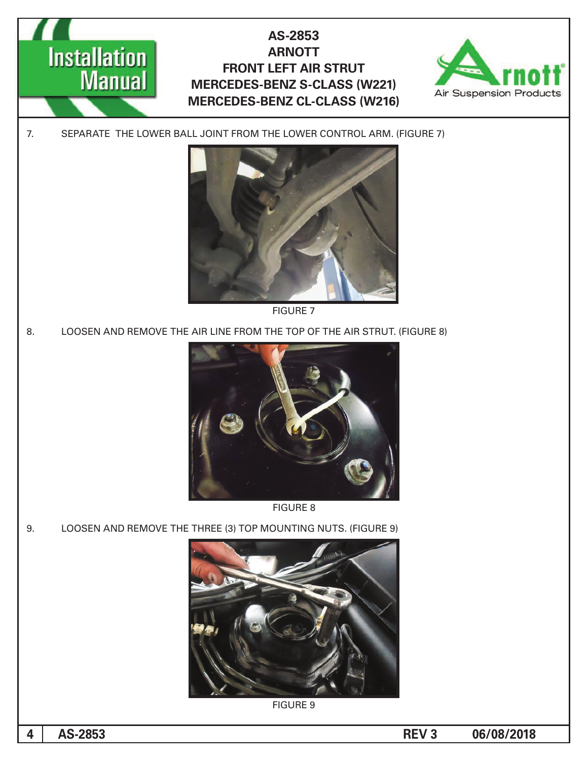



7. SEPARATE THE LOWER BALL JOINT FROM THE LOWER CONTROL ARM. (FIGURE 7)



**FIGURE 7** 

8. LOOSEN AND REMOVE THE AIR LINE FROM THE TOP OF THE AIR STRUT. (FIGURE 8)



**FIGURE 8** 

9. LOOSEN AND REMOVE THE THREE (3) TOP MOUNTING NUTS. (FIGURE 9)



**FIGURE 9**